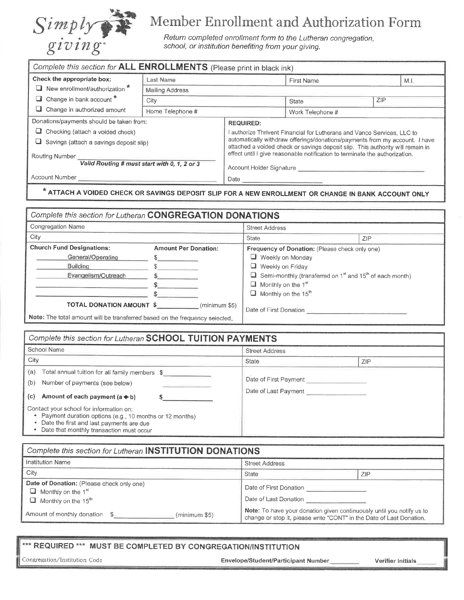

冖

## Member Enrollment and Authorization Form

Return completed enrollment form to the Lutheran congregation, school, or institution benefiting from your giving.

| Complete this section for ALL ENROLLMENTS (Please print in black ink) |                        |                                                                                                                                                               |                  |     |      |  |
|-----------------------------------------------------------------------|------------------------|---------------------------------------------------------------------------------------------------------------------------------------------------------------|------------------|-----|------|--|
| Check the appropriate box:                                            | Last Name              |                                                                                                                                                               | First Name       |     | M.I. |  |
| New enrollment/authorization *                                        | <b>Mailing Address</b> |                                                                                                                                                               |                  |     |      |  |
| Change in bank account *                                              | City                   |                                                                                                                                                               | State            | ZIP |      |  |
| $\Box$ Change in authorized amount                                    | Home Telephone #       |                                                                                                                                                               | Work Telephone # |     |      |  |
| Donations/payments should be taken from:                              |                        | <b>REQUIRED:</b>                                                                                                                                              |                  |     |      |  |
| $\Box$ Checking (attach a voided check)                               |                        | I authorize Thrivent Financial for Lutherans and Vanco Services, LLC to                                                                                       |                  |     |      |  |
| Savings (attach a savings deposit slip)                               |                        | automatically withdraw offerings/donations/payments from my account. I have<br>attached a voided check or savings deposit slip. This authority will remain in |                  |     |      |  |
| Routing Number<br>Valid Routing # must start with 0, 1, 2 or 3        |                        | effect until I give reasonable notification to terminate the authorization.                                                                                   |                  |     |      |  |
|                                                                       |                        | Account Holder Signature <b>Constitution of the Constitution of the Constitution</b>                                                                          |                  |     |      |  |
| Account Number                                                        |                        |                                                                                                                                                               |                  |     |      |  |
| <b>CONTRACTOR</b>                                                     |                        |                                                                                                                                                               |                  |     |      |  |

## \* ATTACH A VOIDED CHECK OR SAVINGS DEPOSIT SLIP FOR A NEW ENROLLMENT OR CHANGE IN BANK ACCOUNT ONLY

| Complete this section for Lutheran CONGREGATION DONATIONS                   |                             |                                                                                                           |     |  |  |  |
|-----------------------------------------------------------------------------|-----------------------------|-----------------------------------------------------------------------------------------------------------|-----|--|--|--|
| <b>Congregation Name</b>                                                    |                             | <b>Street Address</b>                                                                                     |     |  |  |  |
| City                                                                        |                             | State                                                                                                     | ZIP |  |  |  |
| <b>Church Fund Designations:</b>                                            | <b>Amount Per Donation:</b> | Frequency of Donation: (Please check only one)                                                            |     |  |  |  |
| General/Operating                                                           |                             | $\Box$ Weekly on Monday                                                                                   |     |  |  |  |
| Building                                                                    |                             | Weekly on Friday                                                                                          |     |  |  |  |
| Evangelism/Outreach                                                         |                             | <b><math>\Box</math></b> Semi-monthly (transferred on 1 <sup>st</sup> and 15 <sup>th</sup> of each month) |     |  |  |  |
|                                                                             |                             | $\Box$ Monthly on the 1 <sup>st</sup>                                                                     |     |  |  |  |
|                                                                             |                             | $\Box$ Monthly on the 15 <sup>th</sup>                                                                    |     |  |  |  |
| <b>TOTAL DONATION AMOUNT \$</b><br>(minimum \$5)                            |                             | Date of First Donation                                                                                    |     |  |  |  |
| Note: The total amount will be transferred based on the frequency selected. |                             |                                                                                                           |     |  |  |  |

| Complete this section for Lutheran SCHOOL TUITION PAYMENTS                                                                                                                                 |                       |                                                           |  |  |  |
|--------------------------------------------------------------------------------------------------------------------------------------------------------------------------------------------|-----------------------|-----------------------------------------------------------|--|--|--|
| School Name                                                                                                                                                                                | <b>Street Address</b> |                                                           |  |  |  |
| City                                                                                                                                                                                       | State                 | <b>ZIP</b>                                                |  |  |  |
| (a)<br>Total annual tuition for all family members \$<br>(b)<br>Number of payments (see below)<br>Amount of each payment $(a + b)$<br>(c)                                                  |                       | Date of First Payment<br>Date of Last Payment ___________ |  |  |  |
| Contact your school for information on:<br>Payment duration options (e.g., 10 months or 12 months)<br>Date the first and last payments are due<br>Date that monthly transaction must occur |                       |                                                           |  |  |  |

| Complete this section for Lutheran INSTITUTION DONATIONS                                                                     |                                                                                                                                               |     |  |  |  |
|------------------------------------------------------------------------------------------------------------------------------|-----------------------------------------------------------------------------------------------------------------------------------------------|-----|--|--|--|
| Institution Name                                                                                                             | <b>Street Address</b>                                                                                                                         |     |  |  |  |
| City                                                                                                                         | State                                                                                                                                         | ZIP |  |  |  |
| Date of Donation: (Please check only one)<br>$\Box$ Monthly on the 1 <sup>st</sup><br>$\Box$ Monthly on the 15 <sup>th</sup> | Date of First Donation<br>Date of Last Donation                                                                                               |     |  |  |  |
| Amount of monthly donation \$<br>(minimum \$5)                                                                               | Note: To have your donation given continuously until you notify us to<br>change or stop it, please write "CONT" in the Date of Last Donation. |     |  |  |  |

\*\*\* REQUIRED \*\*\* MUST BE COMPLETED BY CONGREGATION/INSTITUTION